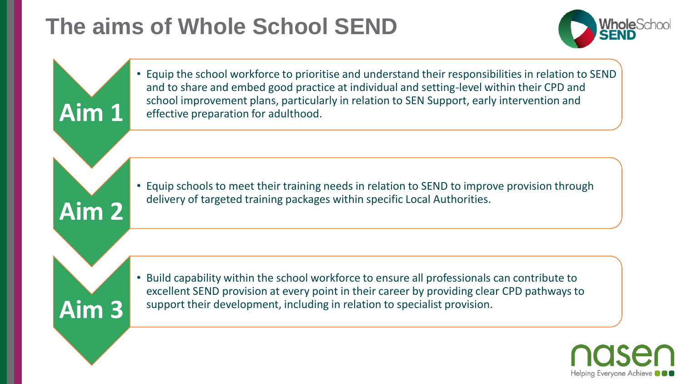# **The aims of Whole School SEND**



Helping Everyone Achieve

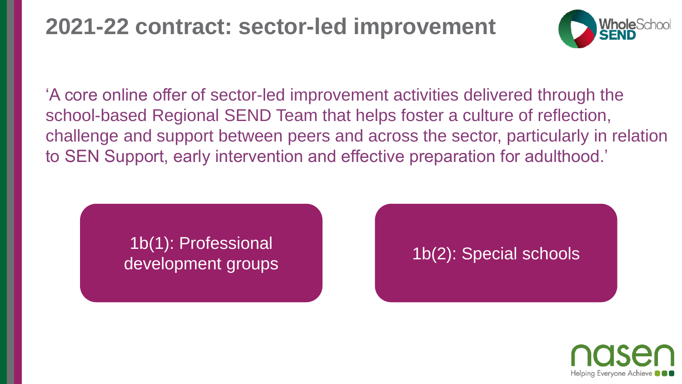### **2021-22 contract: sector-led improvement**



'A core online offer of sector-led improvement activities delivered through the school-based Regional SEND Team that helps foster a culture of reflection, challenge and support between peers and across the sector, particularly in relation to SEN Support, early intervention and effective preparation for adulthood.'

#### 1b(1): Professional development groups 1b(2): Special schools

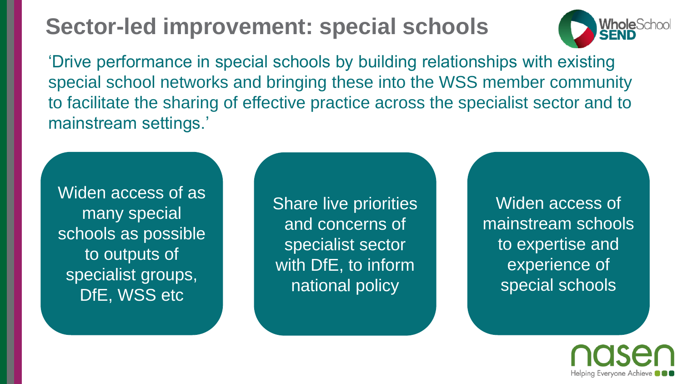# **Sector-led improvement: special schools**



Helping Everyone Achieve

'Drive performance in special schools by building relationships with existing special school networks and bringing these into the WSS member community to facilitate the sharing of effective practice across the specialist sector and to mainstream settings.'

Widen access of as many special schools as possible to outputs of specialist groups, DfE, WSS etc

Share live priorities and concerns of specialist sector with DfE, to inform national policy

Widen access of mainstream schools to expertise and experience of special schools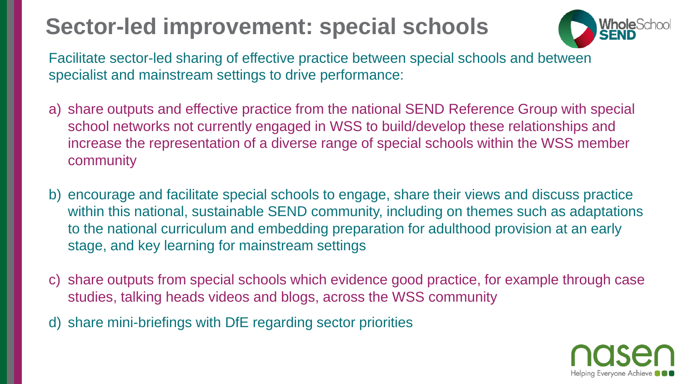# **Sector-led improvement: special schools**



Facilitate sector-led sharing of effective practice between special schools and between specialist and mainstream settings to drive performance:

- a) share outputs and effective practice from the national SEND Reference Group with special school networks not currently engaged in WSS to build/develop these relationships and increase the representation of a diverse range of special schools within the WSS member community
- b) encourage and facilitate special schools to engage, share their views and discuss practice within this national, sustainable SEND community, including on themes such as adaptations to the national curriculum and embedding preparation for adulthood provision at an early stage, and key learning for mainstream settings
- c) share outputs from special schools which evidence good practice, for example through case studies, talking heads videos and blogs, across the WSS community
- d) share mini-briefings with DfE regarding sector priorities